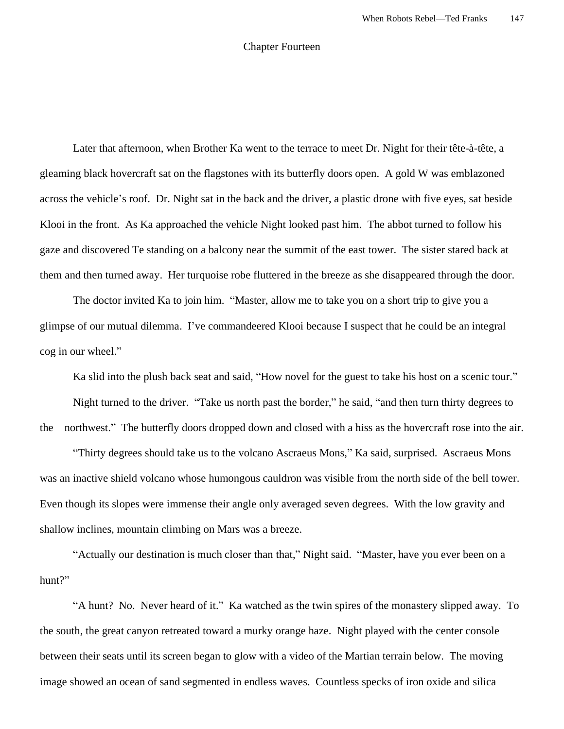## Chapter Fourteen

Later that afternoon, when Brother Ka went to the terrace to meet Dr. Night for their tête-à-tête, a gleaming black hovercraft sat on the flagstones with its butterfly doors open. A gold W was emblazoned across the vehicle's roof. Dr. Night sat in the back and the driver, a plastic drone with five eyes, sat beside Klooi in the front. As Ka approached the vehicle Night looked past him. The abbot turned to follow his gaze and discovered Te standing on a balcony near the summit of the east tower. The sister stared back at them and then turned away. Her turquoise robe fluttered in the breeze as she disappeared through the door.

The doctor invited Ka to join him. "Master, allow me to take you on a short trip to give you a glimpse of our mutual dilemma. I've commandeered Klooi because I suspect that he could be an integral cog in our wheel."

Ka slid into the plush back seat and said, "How novel for the guest to take his host on a scenic tour."

Night turned to the driver. "Take us north past the border," he said, "and then turn thirty degrees to the northwest." The butterfly doors dropped down and closed with a hiss as the hovercraft rose into the air.

"Thirty degrees should take us to the volcano Ascraeus Mons," Ka said, surprised. Ascraeus Mons was an inactive shield volcano whose humongous cauldron was visible from the north side of the bell tower. Even though its slopes were immense their angle only averaged seven degrees. With the low gravity and shallow inclines, mountain climbing on Mars was a breeze.

"Actually our destination is much closer than that," Night said. "Master, have you ever been on a hunt?"

"A hunt? No. Never heard of it." Ka watched as the twin spires of the monastery slipped away. To the south, the great canyon retreated toward a murky orange haze. Night played with the center console between their seats until its screen began to glow with a video of the Martian terrain below. The moving image showed an ocean of sand segmented in endless waves. Countless specks of iron oxide and silica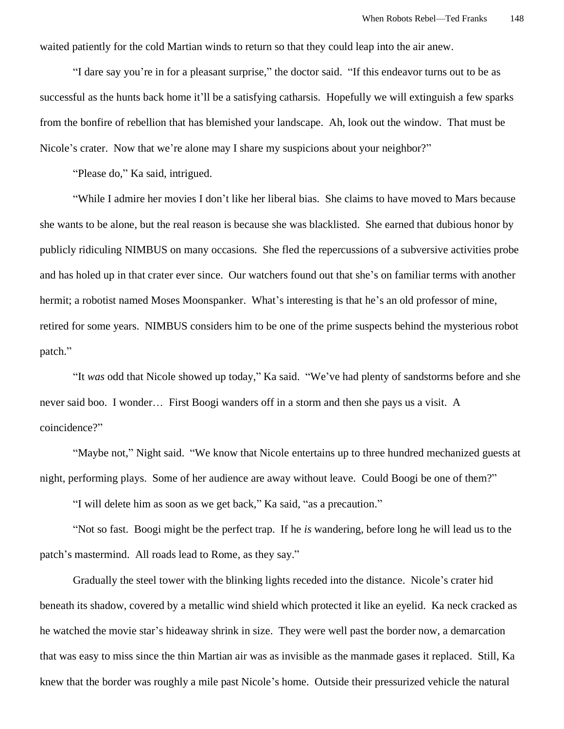waited patiently for the cold Martian winds to return so that they could leap into the air anew.

"I dare say you're in for a pleasant surprise," the doctor said. "If this endeavor turns out to be as successful as the hunts back home it'll be a satisfying catharsis. Hopefully we will extinguish a few sparks from the bonfire of rebellion that has blemished your landscape. Ah, look out the window. That must be Nicole's crater. Now that we're alone may I share my suspicions about your neighbor?"

"Please do," Ka said, intrigued.

"While I admire her movies I don't like her liberal bias. She claims to have moved to Mars because she wants to be alone, but the real reason is because she was blacklisted. She earned that dubious honor by publicly ridiculing NIMBUS on many occasions. She fled the repercussions of a subversive activities probe and has holed up in that crater ever since. Our watchers found out that she's on familiar terms with another hermit; a robotist named Moses Moonspanker. What's interesting is that he's an old professor of mine, retired for some years. NIMBUS considers him to be one of the prime suspects behind the mysterious robot patch."

"It *was* odd that Nicole showed up today," Ka said. "We've had plenty of sandstorms before and she never said boo. I wonder… First Boogi wanders off in a storm and then she pays us a visit. A coincidence?"

"Maybe not," Night said. "We know that Nicole entertains up to three hundred mechanized guests at night, performing plays. Some of her audience are away without leave. Could Boogi be one of them?"

"I will delete him as soon as we get back," Ka said, "as a precaution."

"Not so fast. Boogi might be the perfect trap. If he *is* wandering, before long he will lead us to the patch's mastermind. All roads lead to Rome, as they say."

Gradually the steel tower with the blinking lights receded into the distance. Nicole's crater hid beneath its shadow, covered by a metallic wind shield which protected it like an eyelid. Ka neck cracked as he watched the movie star's hideaway shrink in size. They were well past the border now, a demarcation that was easy to miss since the thin Martian air was as invisible as the manmade gases it replaced. Still, Ka knew that the border was roughly a mile past Nicole's home. Outside their pressurized vehicle the natural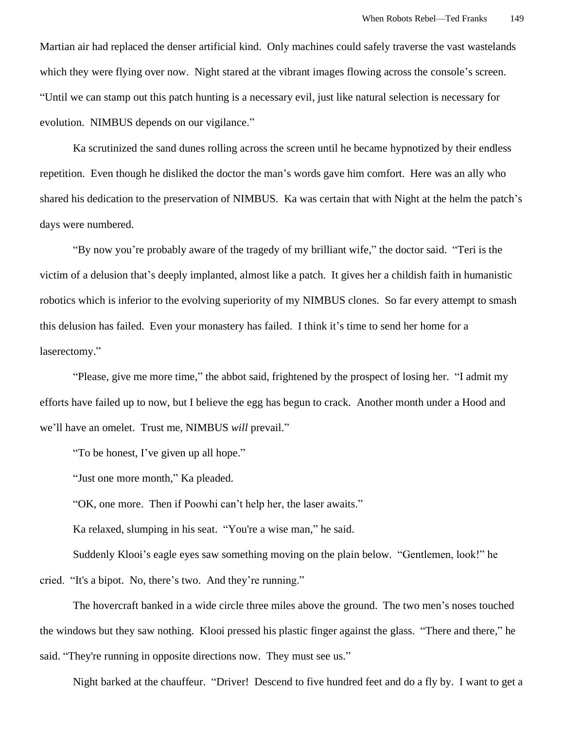Martian air had replaced the denser artificial kind. Only machines could safely traverse the vast wastelands which they were flying over now. Night stared at the vibrant images flowing across the console's screen. "Until we can stamp out this patch hunting is a necessary evil, just like natural selection is necessary for evolution. NIMBUS depends on our vigilance."

Ka scrutinized the sand dunes rolling across the screen until he became hypnotized by their endless repetition. Even though he disliked the doctor the man's words gave him comfort. Here was an ally who shared his dedication to the preservation of NIMBUS. Ka was certain that with Night at the helm the patch's days were numbered.

"By now you're probably aware of the tragedy of my brilliant wife," the doctor said. "Teri is the victim of a delusion that's deeply implanted, almost like a patch. It gives her a childish faith in humanistic robotics which is inferior to the evolving superiority of my NIMBUS clones. So far every attempt to smash this delusion has failed. Even your monastery has failed. I think it's time to send her home for a laserectomy."

"Please, give me more time," the abbot said, frightened by the prospect of losing her. "I admit my efforts have failed up to now, but I believe the egg has begun to crack. Another month under a Hood and we'll have an omelet. Trust me, NIMBUS *will* prevail."

"To be honest, I've given up all hope."

"Just one more month," Ka pleaded.

"OK, one more. Then if Poowhi can't help her, the laser awaits."

Ka relaxed, slumping in his seat. "You're a wise man," he said.

Suddenly Klooi's eagle eyes saw something moving on the plain below. "Gentlemen, look!" he cried. "It's a bipot. No, there's two. And they're running."

The hovercraft banked in a wide circle three miles above the ground. The two men's noses touched the windows but they saw nothing. Klooi pressed his plastic finger against the glass. "There and there," he said. "They're running in opposite directions now. They must see us."

Night barked at the chauffeur. "Driver! Descend to five hundred feet and do a fly by. I want to get a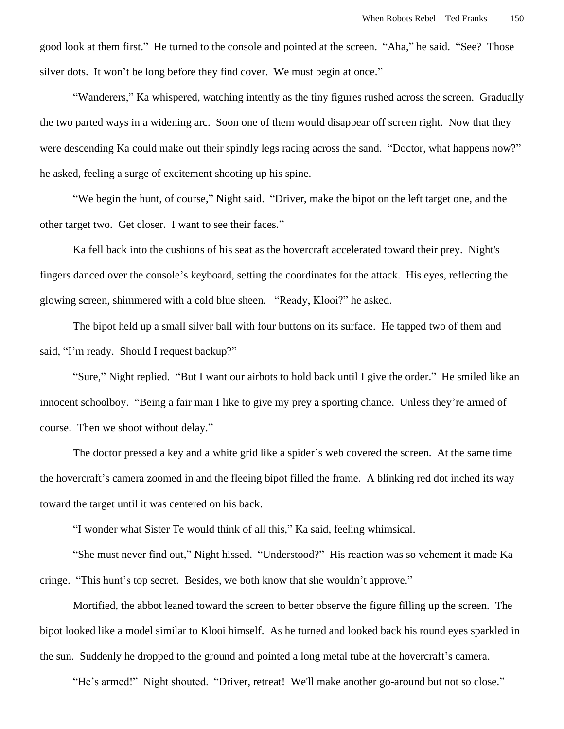good look at them first." He turned to the console and pointed at the screen. "Aha," he said. "See? Those silver dots. It won't be long before they find cover. We must begin at once."

"Wanderers," Ka whispered, watching intently as the tiny figures rushed across the screen. Gradually the two parted ways in a widening arc. Soon one of them would disappear off screen right. Now that they were descending Ka could make out their spindly legs racing across the sand. "Doctor, what happens now?" he asked, feeling a surge of excitement shooting up his spine.

"We begin the hunt, of course," Night said. "Driver, make the bipot on the left target one, and the other target two. Get closer. I want to see their faces."

Ka fell back into the cushions of his seat as the hovercraft accelerated toward their prey. Night's fingers danced over the console's keyboard, setting the coordinates for the attack. His eyes, reflecting the glowing screen, shimmered with a cold blue sheen. "Ready, Klooi?" he asked.

The bipot held up a small silver ball with four buttons on its surface. He tapped two of them and said, "I'm ready. Should I request backup?"

"Sure," Night replied. "But I want our airbots to hold back until I give the order." He smiled like an innocent schoolboy. "Being a fair man I like to give my prey a sporting chance. Unless they're armed of course. Then we shoot without delay."

The doctor pressed a key and a white grid like a spider's web covered the screen. At the same time the hovercraft's camera zoomed in and the fleeing bipot filled the frame. A blinking red dot inched its way toward the target until it was centered on his back.

"I wonder what Sister Te would think of all this," Ka said, feeling whimsical.

"She must never find out," Night hissed. "Understood?" His reaction was so vehement it made Ka cringe. "This hunt's top secret. Besides, we both know that she wouldn't approve."

Mortified, the abbot leaned toward the screen to better observe the figure filling up the screen. The bipot looked like a model similar to Klooi himself. As he turned and looked back his round eyes sparkled in the sun. Suddenly he dropped to the ground and pointed a long metal tube at the hovercraft's camera.

"He's armed!" Night shouted. "Driver, retreat! We'll make another go-around but not so close."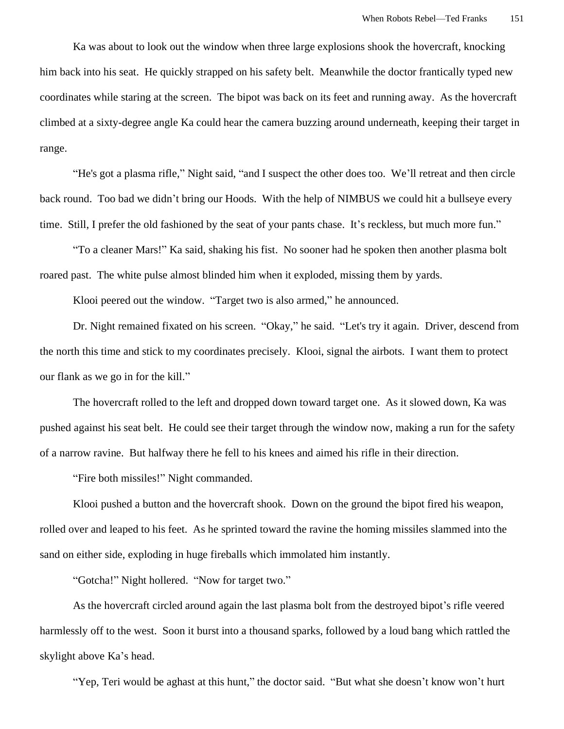Ka was about to look out the window when three large explosions shook the hovercraft, knocking him back into his seat. He quickly strapped on his safety belt. Meanwhile the doctor frantically typed new coordinates while staring at the screen. The bipot was back on its feet and running away. As the hovercraft climbed at a sixty-degree angle Ka could hear the camera buzzing around underneath, keeping their target in range.

"He's got a plasma rifle," Night said, "and I suspect the other does too. We'll retreat and then circle back round. Too bad we didn't bring our Hoods. With the help of NIMBUS we could hit a bullseye every time. Still, I prefer the old fashioned by the seat of your pants chase. It's reckless, but much more fun."

"To a cleaner Mars!" Ka said, shaking his fist. No sooner had he spoken then another plasma bolt roared past. The white pulse almost blinded him when it exploded, missing them by yards.

Klooi peered out the window. "Target two is also armed," he announced.

Dr. Night remained fixated on his screen. "Okay," he said. "Let's try it again. Driver, descend from the north this time and stick to my coordinates precisely. Klooi, signal the airbots. I want them to protect our flank as we go in for the kill."

The hovercraft rolled to the left and dropped down toward target one. As it slowed down, Ka was pushed against his seat belt. He could see their target through the window now, making a run for the safety of a narrow ravine. But halfway there he fell to his knees and aimed his rifle in their direction.

"Fire both missiles!" Night commanded.

Klooi pushed a button and the hovercraft shook. Down on the ground the bipot fired his weapon, rolled over and leaped to his feet. As he sprinted toward the ravine the homing missiles slammed into the sand on either side, exploding in huge fireballs which immolated him instantly.

"Gotcha!" Night hollered. "Now for target two."

As the hovercraft circled around again the last plasma bolt from the destroyed bipot's rifle veered harmlessly off to the west. Soon it burst into a thousand sparks, followed by a loud bang which rattled the skylight above Ka's head.

"Yep, Teri would be aghast at this hunt," the doctor said. "But what she doesn't know won't hurt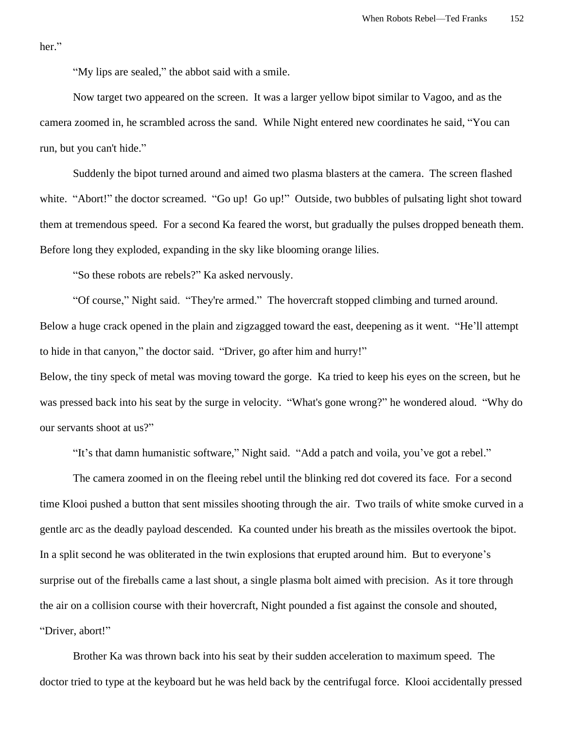her."

"My lips are sealed," the abbot said with a smile.

Now target two appeared on the screen. It was a larger yellow bipot similar to Vagoo, and as the camera zoomed in, he scrambled across the sand. While Night entered new coordinates he said, "You can run, but you can't hide."

Suddenly the bipot turned around and aimed two plasma blasters at the camera. The screen flashed white. "Abort!" the doctor screamed. "Go up! Go up!" Outside, two bubbles of pulsating light shot toward them at tremendous speed. For a second Ka feared the worst, but gradually the pulses dropped beneath them. Before long they exploded, expanding in the sky like blooming orange lilies.

"So these robots are rebels?" Ka asked nervously.

"Of course," Night said. "They're armed." The hovercraft stopped climbing and turned around. Below a huge crack opened in the plain and zigzagged toward the east, deepening as it went. "He'll attempt to hide in that canyon," the doctor said. "Driver, go after him and hurry!"

Below, the tiny speck of metal was moving toward the gorge. Ka tried to keep his eyes on the screen, but he was pressed back into his seat by the surge in velocity. "What's gone wrong?" he wondered aloud. "Why do our servants shoot at us?"

"It's that damn humanistic software," Night said. "Add a patch and voila, you've got a rebel."

The camera zoomed in on the fleeing rebel until the blinking red dot covered its face. For a second time Klooi pushed a button that sent missiles shooting through the air. Two trails of white smoke curved in a gentle arc as the deadly payload descended. Ka counted under his breath as the missiles overtook the bipot. In a split second he was obliterated in the twin explosions that erupted around him. But to everyone's surprise out of the fireballs came a last shout, a single plasma bolt aimed with precision. As it tore through the air on a collision course with their hovercraft, Night pounded a fist against the console and shouted, "Driver, abort!"

Brother Ka was thrown back into his seat by their sudden acceleration to maximum speed. The doctor tried to type at the keyboard but he was held back by the centrifugal force. Klooi accidentally pressed